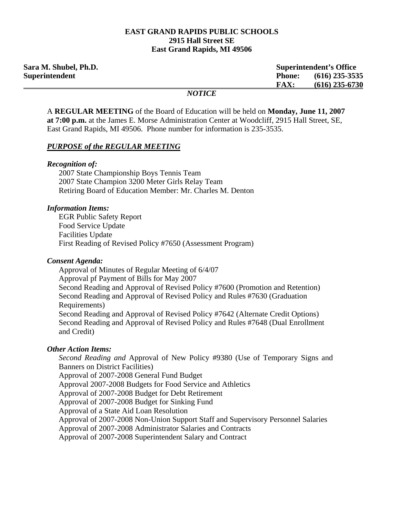#### **EAST GRAND RAPIDS PUBLIC SCHOOLS 2915 Hall Street SE East Grand Rapids, MI 49506**

| Sara M. Shubel, Ph.D. |                   | <b>Superintendent's Office</b> |                  |
|-----------------------|-------------------|--------------------------------|------------------|
| Superintendent        |                   | <b>Phone:</b>                  | $(616)$ 235-3535 |
|                       |                   | FAX:                           | $(616)$ 235-6730 |
|                       | $M\Omega T I C E$ |                                |                  |

#### *NOTICE*

A **REGULAR MEETING** of the Board of Education will be held on **Monday, June 11, 2007 at 7:00 p.m.** at the James E. Morse Administration Center at Woodcliff, 2915 Hall Street, SE, East Grand Rapids, MI 49506. Phone number for information is 235-3535.

#### *PURPOSE of the REGULAR MEETING*

#### *Recognition of:*

 2007 State Championship Boys Tennis Team 2007 State Champion 3200 Meter Girls Relay Team Retiring Board of Education Member: Mr. Charles M. Denton

#### *Information Items:*

 EGR Public Safety Report Food Service Update Facilities Update First Reading of Revised Policy #7650 (Assessment Program)

#### *Consent Agenda:*

 Approval of Minutes of Regular Meeting of 6/4/07 Approval pf Payment of Bills for May 2007 Second Reading and Approval of Revised Policy #7600 (Promotion and Retention) Second Reading and Approval of Revised Policy and Rules #7630 (Graduation Requirements) Second Reading and Approval of Revised Policy #7642 (Alternate Credit Options) Second Reading and Approval of Revised Policy and Rules #7648 (Dual Enrollment and Credit)

### *Other Action Items:*

 *Second Reading and* Approval of New Policy #9380 (Use of Temporary Signs and Banners on District Facilities) Approval of 2007-2008 General Fund Budget Approval 2007-2008 Budgets for Food Service and Athletics Approval of 2007-2008 Budget for Debt Retirement Approval of 2007-2008 Budget for Sinking Fund Approval of a State Aid Loan Resolution Approval of 2007-2008 Non-Union Support Staff and Supervisory Personnel Salaries Approval of 2007-2008 Administrator Salaries and Contracts Approval of 2007-2008 Superintendent Salary and Contract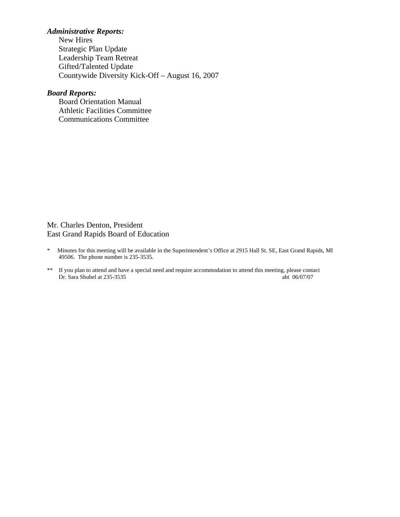## *Administrative Reports:*

**New Hires**  Strategic Plan Update Leadership Team Retreat Gifted/Talented Update Countywide Diversity Kick-Off – August 16, 2007

# *Board Reports:*

**Board Orientation Manual**  Athletic Facilities Committee Communications Committee

### Mr. Charles Denton, President East Grand Rapids Board of Education

- \* Minutes for this meeting will be available in the Superintendent's Office at 2915 Hall St. SE, East Grand Rapids, MI 49506. The phone number is 235-3535.
- \*\* If you plan to attend and have a special need and require accommodation to attend this meeting, please contact Dr. Sara Shubel at 235-3535 aht 06/07/07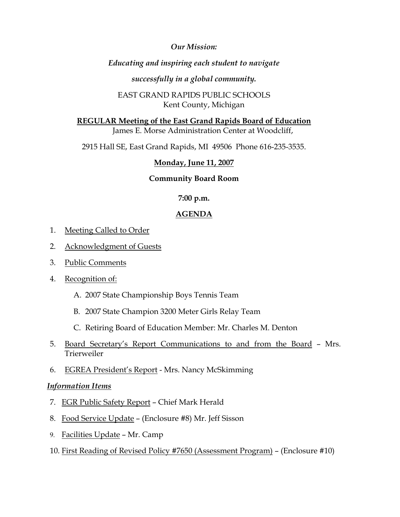*Our Mission:* 

# *Educating and inspiring each student to navigate*

## *successfully in a global community.*

# EAST GRAND RAPIDS PUBLIC SCHOOLS Kent County, Michigan

**REGULAR Meeting of the East Grand Rapids Board of Education** James E. Morse Administration Center at Woodcliff,

2915 Hall SE, East Grand Rapids, MI 49506 Phone 616-235-3535.

# **Monday, June 11, 2007**

# **Community Board Room**

## **7:00 p.m.**

# **AGENDA**

- 1. Meeting Called to Order
- 2. Acknowledgment of Guests
- 3. Public Comments
- 4. Recognition of:
	- A. 2007 State Championship Boys Tennis Team
	- B. 2007 State Champion 3200 Meter Girls Relay Team
	- C. Retiring Board of Education Member: Mr. Charles M. Denton
- 5. Board Secretary's Report Communications to and from the Board Mrs. Trierweiler
- 6. EGREA President's Report Mrs. Nancy McSkimming

## *Information Items*

- 7. EGR Public Safety Report Chief Mark Herald
- 8. Food Service Update (Enclosure #8) Mr. Jeff Sisson
- 9. Facilities Update Mr. Camp
- 10. First Reading of Revised Policy #7650 (Assessment Program) (Enclosure #10)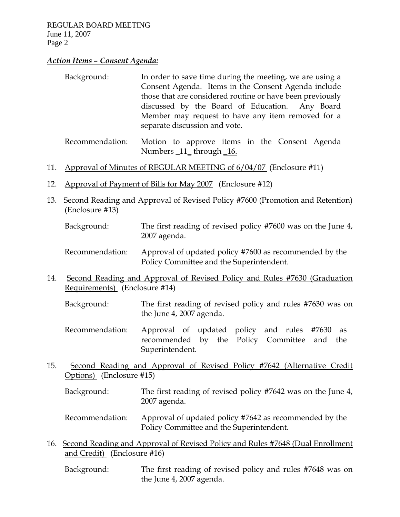## *Action Items – Consent Agenda:*

| Background: | In order to save time during the meeting, we are using a  |  |  |
|-------------|-----------------------------------------------------------|--|--|
|             | Consent Agenda. Items in the Consent Agenda include       |  |  |
|             | those that are considered routine or have been previously |  |  |
|             | discussed by the Board of Education. Any Board            |  |  |
|             | Member may request to have any item removed for a         |  |  |
|             | separate discussion and vote.                             |  |  |
|             |                                                           |  |  |

- Recommendation: Motion to approve items in the Consent Agenda Numbers \_11\_ through \_16.
- 11. Approval of Minutes of REGULAR MEETING of 6/04/07 (Enclosure #11)
- 12. Approval of Payment of Bills for May 2007 (Enclosure #12)
- 13. Second Reading and Approval of Revised Policy #7600 (Promotion and Retention) (Enclosure #13)
	- Background: The first reading of revised policy #7600 was on the June 4, 2007 agenda.
	- Recommendation: Approval of updated policy #7600 as recommended by the Policy Committee and the Superintendent.
- 14. Second Reading and Approval of Revised Policy and Rules #7630 (Graduation Requirements) (Enclosure #14)
	- Background: The first reading of revised policy and rules #7630 was on the June 4, 2007 agenda.
	- Recommendation: Approval of updated policy and rules #7630 as recommended by the Policy Committee and the Superintendent.
- 15. Second Reading and Approval of Revised Policy #7642 (Alternative Credit Options) (Enclosure #15)
	- Background: The first reading of revised policy #7642 was on the June 4, 2007 agenda.
	- Recommendation: Approval of updated policy #7642 as recommended by the Policy Committee and the Superintendent.
- 16. Second Reading and Approval of Revised Policy and Rules #7648 (Dual Enrollment and Credit) (Enclosure #16)

 Background: The first reading of revised policy and rules #7648 was on the June 4, 2007 agenda.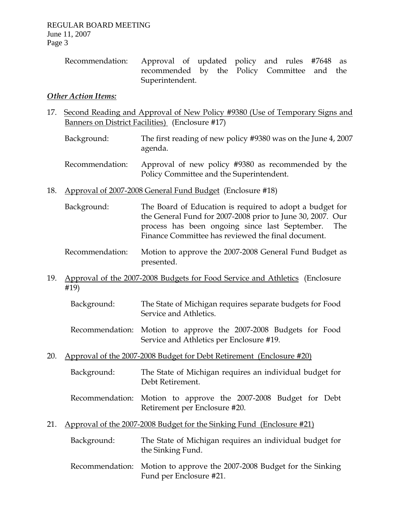Recommendation: Approval of updated policy and rules #7648 as recommended by the Policy Committee and the Superintendent.

## *Other Action Items:*

- 17. Second Reading and Approval of New Policy #9380 (Use of Temporary Signs and Banners on District Facilities) (Enclosure #17)
	- Background: The first reading of new policy #9380 was on the June 4, 2007 agenda.
	- Recommendation: Approval of new policy #9380 as recommended by the Policy Committee and the Superintendent.
- 18. Approval of 2007-2008 General Fund Budget (Enclosure #18)
	- Background: The Board of Education is required to adopt a budget for the General Fund for 2007-2008 prior to June 30, 2007. Our process has been ongoing since last September. The Finance Committee has reviewed the final document.
	- Recommendation: Motion to approve the 2007-2008 General Fund Budget as presented.
- 19. Approval of the 2007-2008 Budgets for Food Service and Athletics (Enclosure #19)
	- Background: The State of Michigan requires separate budgets for Food Service and Athletics.
	- Recommendation: Motion to approve the 2007-2008 Budgets for Food Service and Athletics per Enclosure #19.
- 20. Approval of the 2007-2008 Budget for Debt Retirement (Enclosure #20)
	- Background: The State of Michigan requires an individual budget for Debt Retirement.
	- Recommendation: Motion to approve the 2007-2008 Budget for Debt Retirement per Enclosure #20.
- 21. Approval of the 2007-2008 Budget for the Sinking Fund (Enclosure #21)
	- Background: The State of Michigan requires an individual budget for the Sinking Fund.
	- Recommendation: Motion to approve the 2007-2008 Budget for the Sinking Fund per Enclosure #21.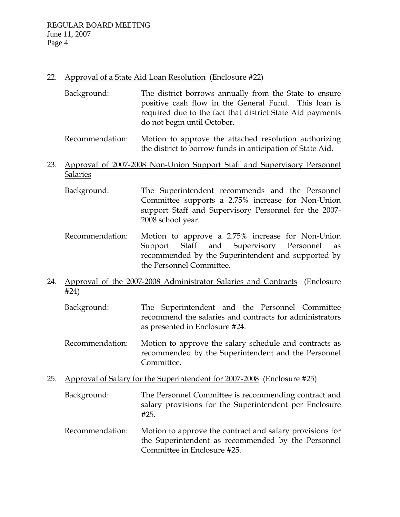## 22. Approval of a State Aid Loan Resolution (Enclosure #22)

- Background: The district borrows annually from the State to ensure positive cash flow in the General Fund. This loan is required due to the fact that district State Aid payments do not begin until October.
- Recommendation: Motion to approve the attached resolution authorizing the district to borrow funds in anticipation of State Aid.

## 23. Approval of 2007-2008 Non-Union Support Staff and Supervisory Personnel Salaries

- Background: The Superintendent recommends and the Personnel Committee supports a 2.75% increase for Non-Union support Staff and Supervisory Personnel for the 2007- 2008 school year.
- Recommendation: Motion to approve a 2.75% increase for Non-Union Support Staff and Supervisory Personnel as recommended by the Superintendent and supported by the Personnel Committee.
- 24. Approval of the 2007-2008 Administrator Salaries and Contracts (Enclosure #24)
	- Background: The Superintendent and the Personnel Committee recommend the salaries and contracts for administrators as presented in Enclosure #24.
	- Recommendation: Motion to approve the salary schedule and contracts as recommended by the Superintendent and the Personnel Committee.
- 25. Approval of Salary for the Superintendent for 2007-2008 (Enclosure #25)
	- Background: The Personnel Committee is recommending contract and salary provisions for the Superintendent per Enclosure #25.
	- Recommendation: Motion to approve the contract and salary provisions for the Superintendent as recommended by the Personnel Committee in Enclosure #25.